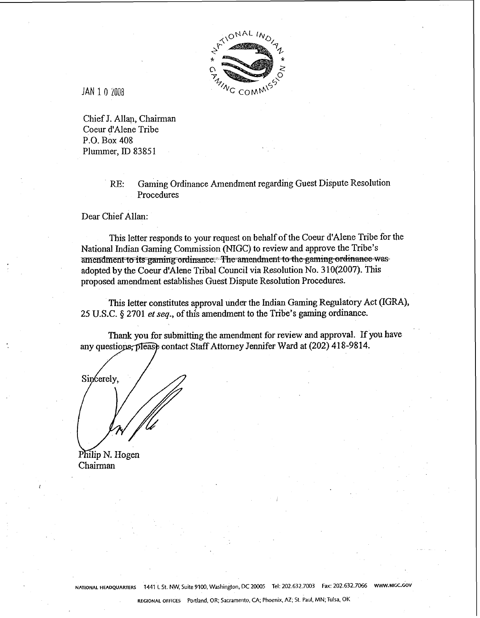

**JAN** I 0 2008

Chief J. Allap, Chairman Coeur d'Alene Tribe P.O. Box 408 Plummer, ID 83851

> **RE:** Gaming Ordinance Amendment regarding Guest Dispute Resolution Procedures

Dear Chief Allan:

This letter responds to your request on behalf of the Coeur d'Alene Tribe for the National Indian Gaming Commission (NIGC) to review and approve the Tribe's amendment to its gaming ordinance. The amendment to the gaming ordinance was adopted by the Coeur d'Alene Tribal Council via Resolution No. 310(2007). This proposed amendment establishes Guest Dispute Resolution Procedures.

This letter constitutes approval under the Indian Gaming Regulatory Act (IGRA), 25 U.S.C. \$2701 **ef seq.,** of this amendment to the Tribe's gaming ordinance.

Thank you for submitting the amendment for review and approval. If you have any questions, please contact Staff Attorney Jennifer Ward at (202) 418-9814.

Sincerely.

Philip N. Hogen Chairman

**NATIONAL HEADQUARTERS 1441 L** St. NW, Suite 9100. Washington, **DC** 20005 Tel: 202.632.7003 **Fax:** 202.632.7066 **WWW.NlGC.GOV**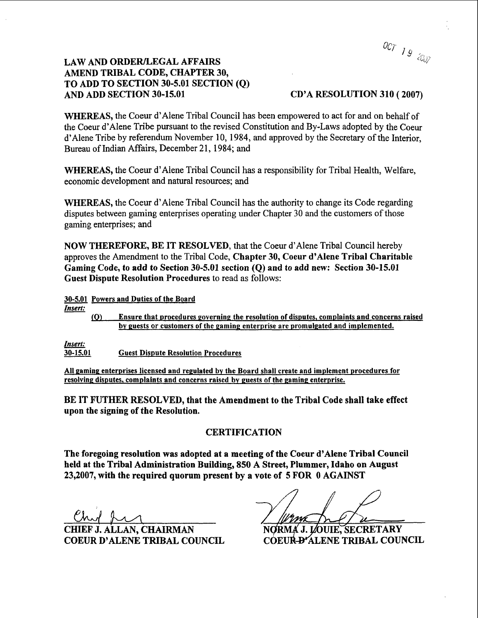0CT 19 2007

## **LAW AND ORDER/LEGAL AFFAIRS AMEND TRIBAL CODE, CHAPTER 30, TO ADD TO SECTION 30-5.01 SECTION (Q)**

## **AND ADD SECTION 30-15.01 CD'A RESOLUTION 310** ( **2007)**

**WHEREAS,** the Coeur d'Alene Tribal Council has been empowered to act for and on behalf of the Coeur d'Alene Tribe pursuant to the revised Constitution and By-Laws adopted by the Coeur d' Alene Tribe by referendum November 10, 1984, and approved by the Secretary of the Interior, Bureau of Indian Affairs, December 21, 1984; and

**WHEREAS,** the Coeur d'Alene Tribal Council has a responsibility for Tribal Health, Welfare, economic development and natural resources; and

**WHEREAS,** the Coeur d'Alene Tribal Council has the authority to change its Code regarding disputes between gaming enterprises operating under Chapter 30 and the customers of those gaming enterprises; and

**NOW THEREFORE, BE IT RESOLVED,** that the Coeur d'Alene Tribal Council hereby approves the Amendment to the Tribal Code, **Chapter 30, Coeur d'Alene Tribal Charitable Gaming Code, to add to Section 30-5.01 section (Q) and to add new: Section 30-15.01 Guest Dispute Resolution Procedures** to read as follows: **NOW THEREFORE, BE IT RES**<br>approves the Amendment to the Tril<br>Gaming Code, to add to Section 3<br>Guest Dispute Resolution Procedu<br>30-5.01 Powers and Duties of the Board<br>Insert: (Q) Ensure that procedures

*Insert:* 

**(O)** Ensure that procedures governing the resolution of disputes, complaints and concerns raised by guests or customers of the gaming enterprise are promulgated and implemented.

*Insert:* 

**30-15.01 Guest Dispute Resolution Procedures** 

**All gamin^ enterprises licensed and regulated by the Board shall create and implement procedures for**  resolving disputes, complaints and concerns raised by guests of the gaming enterprise.

**BE IT FUTHER RESOLVED, that the Amendment to the Tribal Code shall take effect upon the signing of the Resolution.** 

## **CERTIFICATION**

**The foregoing resolution was adopted at a meeting of the Coeur d'Alene Tribal Council held at the Tribal Administration Building, 850 A Street, Plummer, Idaho on August 23,2007, with the required quorum present by a vote of 5 FOR 0 AGAINST** 

**J. ALLAN. CHAIRMAN COEUR D'ALENE TRIBAL COUNCIL COEUR-D'ALENE TRIBAL COUNCIL** 

NORMA J. LOUIE, SECRETARY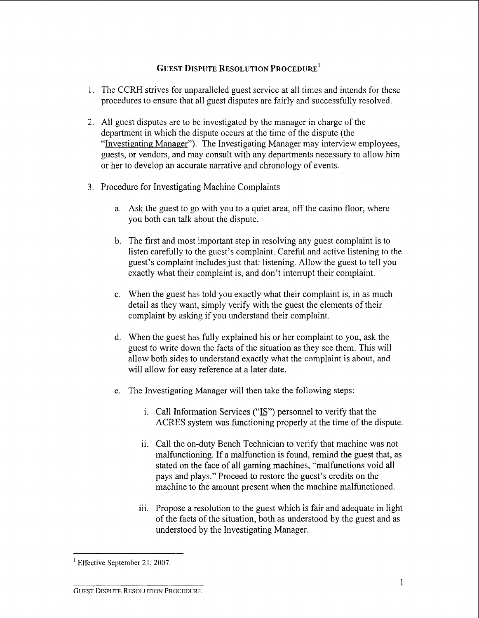## **GUEST DISPUTE RESOLUTION PROCEDURE**<sup>1</sup>

- 1. The CCRH strives for unparalleled guest service at all times and intends for these procedures to ensure that all guest disputes are fairly and successfully resolved.
- 2. All guest disputes are to be investigated by the manager in charge of the department in which the dispute occurs at the time of the dispute (the "Investigating Manager"). The Investigating Manager may interview employees, guests, or vendors, and may consult with any departments necessary to allow him or her to develop an accurate narrative and chronology of events.
- 3. Procedure for Investigating Machine Complaints
	- a. Ask the guest to go with you to a quiet area, off the casino floor, where you both can talk about the dispute.
	- b. The first and most important step in resolving any guest complaint is to listen carefully to the guest's complaint. Careful and active listening to the guest's complaint includes just that: listening. Allow the guest to tell you exactly what their complaint is, and don't interrupt their complaint.
	- c. When the guest has told you exactly what their complaint is, in as much detail as they want, simply verify with the guest the elements of their complaint by asking if you understand their complaint.
	- d. When the guest has fully explained his or her complaint to you, ask the guest to write down the facts of the situation as they see them. This will allow both sides to understand exactly what the complaint is about, and will allow for easy reference at a later date.
	- e. The Investigating Manager will then take the following steps:
		- i. Call Information Services ("IS") personnel to verify that the ACRES system was functioning properly at the time of the dispute.
		- ii. Call the on-duty Bench Technician to verify that machine was not malfunctioning. If a malfunction is found, remind the guest that, as stated on the face of all gaming machines, "malfunctions void all pays and plays." Proceed to restore the guest's credits on the machine to the amount present when the machine malfunctioned.
		- iii. Propose a resolution to the guest which is fair and adequate in light of the facts of the situation, both as understood by the guest and as understood by the Investigating Manager.

<sup>&</sup>lt;sup>1</sup> Effective September 21, 2007.